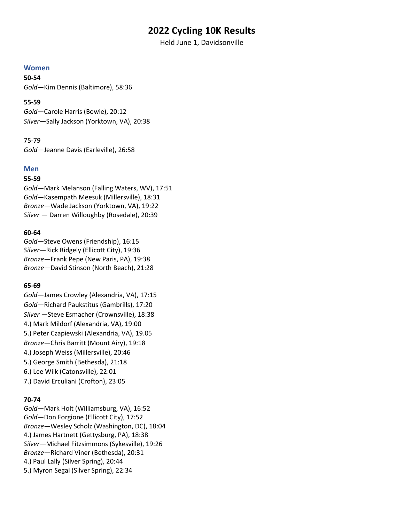# 2022 Cycling 10K Results

Held June 1, Davidsonville

#### Women

50-54

Gold—Kim Dennis (Baltimore), 58:36

#### 55-59

Gold—Carole Harris (Bowie), 20:12 Silver—Sally Jackson (Yorktown, VA), 20:38

#### 75-79

Gold—Jeanne Davis (Earleville), 26:58

## Men

## 55-59

Gold—Mark Melanson (Falling Waters, WV), 17:51 Gold—Kasempath Meesuk (Millersville), 18:31 Bronze—Wade Jackson (Yorktown, VA), 19:22 Silver — Darren Willoughby (Rosedale), 20:39

## 60-64

Gold—Steve Owens (Friendship), 16:15 Silver—Rick Ridgely (Ellicott City), 19:36 Bronze—Frank Pepe (New Paris, PA), 19:38 Bronze—David Stinson (North Beach), 21:28

## 65-69

Gold—James Crowley (Alexandria, VA), 17:15 Gold—Richard Paukstitus (Gambrills), 17:20 Silver —Steve Esmacher (Crownsville), 18:38 4.) Mark Mildorf (Alexandria, VA), 19:00 5.) Peter Czapiewski (Alexandria, VA), 19.05 Bronze—Chris Barritt (Mount Airy), 19:18 4.) Joseph Weiss (Millersville), 20:46 5.) George Smith (Bethesda), 21:18 6.) Lee Wilk (Catonsville), 22:01 7.) David Erculiani (Crofton), 23:05

## 70-74

Gold—Mark Holt (Williamsburg, VA), 16:52 Gold—Don Forgione (Ellicott City), 17:52 Bronze—Wesley Scholz (Washington, DC), 18:04 4.) James Hartnett (Gettysburg, PA), 18:38 Silver—Michael Fitzsimmons (Sykesville), 19:26 Bronze—Richard Viner (Bethesda), 20:31 4.) Paul Lally (Silver Spring), 20:44 5.) Myron Segal (Silver Spring), 22:34